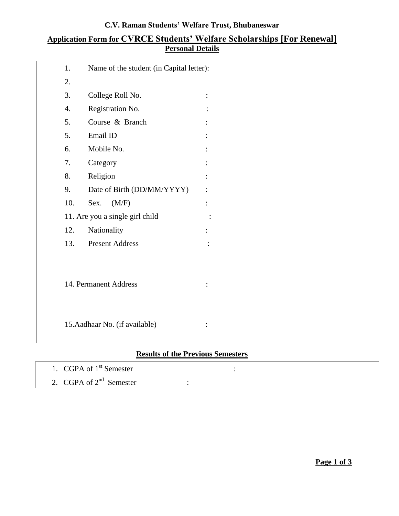### **C.V. Raman Students' Welfare Trust, Bhubaneswar**

## **Application Form for CVRCE Students' Welfare Scholarships [For Renewal] Personal Details**

| 1.               | Name of the student (in Capital letter): |                |
|------------------|------------------------------------------|----------------|
| 2.               |                                          |                |
| 3.               | College Roll No.                         |                |
| $\overline{4}$ . | Registration No.                         |                |
| 5.               | Course & Branch                          |                |
| 5.               | Email ID                                 |                |
| 6.               | Mobile No.                               |                |
| 7.               | Category                                 |                |
| 8.               | Religion                                 |                |
| 9.               | Date of Birth (DD/MM/YYYY)               |                |
| 10.              | (M/F)<br>Sex.                            |                |
|                  | 11. Are you a single girl child          |                |
| 12.              | Nationality                              |                |
| 13.              | <b>Present Address</b>                   |                |
|                  |                                          |                |
|                  | 14. Permanent Address                    |                |
|                  |                                          |                |
|                  | 15. Aadhaar No. (if available)           | $\ddot{\cdot}$ |

# **Results of the Previous Semesters**

| 1. CGPA of 1 <sup>st</sup> Semester |  |  |
|-------------------------------------|--|--|
| 2. CGPA of $2^{nd}$ Semester        |  |  |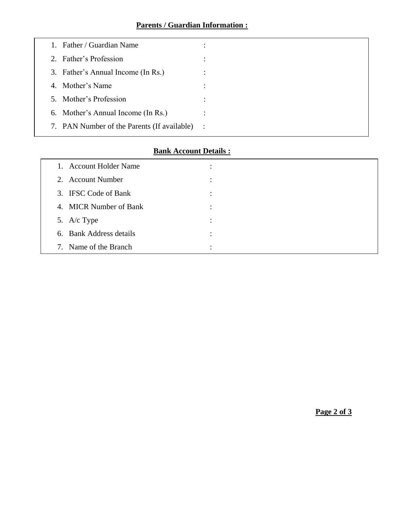|    | Father / Guardian Name                        |  |
|----|-----------------------------------------------|--|
|    | 2. Father's Profession                        |  |
|    | 3. Father's Annual Income (In Rs.)            |  |
| 4. | Mother's Name                                 |  |
|    | 5. Mother's Profession                        |  |
|    | 6. Mother's Annual Income (In Rs.)            |  |
|    | 7. PAN Number of the Parents (If available) : |  |

## **Bank Account Details :**

| 1. Account Holder Name  | ٠ |
|-------------------------|---|
| 2. Account Number       | ٠ |
| 3. IFSC Code of Bank    |   |
| 4. MICR Number of Bank  | ٠ |
| 5. A/c Type             | ٠ |
| 6. Bank Address details | ٠ |
| 7. Name of the Branch   | ٠ |

**Page 2 of 3**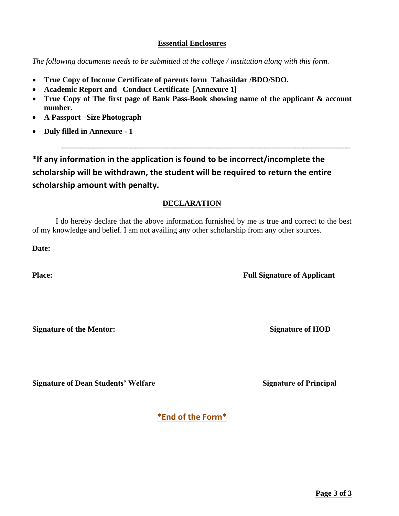**Page 3 of 3**

### **Essential Enclosures**

# *The following documents needs to be submitted at the college / institution along with this form.*

- **True Copy of Income Certificate of parents form Tahasildar /BDO/SDO.**
- **Academic Report and Conduct Certificate [Annexure 1]**
- **True Copy of The first page of Bank Pass-Book showing name of the applicant & account number.**

**\_\_\_\_\_\_\_\_\_\_\_\_\_\_\_\_\_\_\_\_\_\_\_\_\_\_\_\_\_\_\_\_\_\_\_\_\_\_\_\_\_\_\_\_\_\_\_\_\_\_\_\_\_\_\_\_\_\_\_\_\_\_\_\_\_\_\_\_\_\_\_\_\_\_**

- **A Passport –Size Photograph**
- **Duly filled in Annexure - 1**

**\*If any information in the application is found to be incorrect/incomplete the scholarship will be withdrawn, the student will be required to return the entire scholarship amount with penalty.** 

# **DECLARATION**

I do hereby declare that the above information furnished by me is true and correct to the best of my knowledge and belief. I am not availing any other scholarship from any other sources.

**Date:**

**Signature of the Mentor:** Signature of HOD

**Signature of Dean Students' Welfare Signature Signature of Principal** 

**Place: Full Signature of Applicant**

**\*End of the Form\***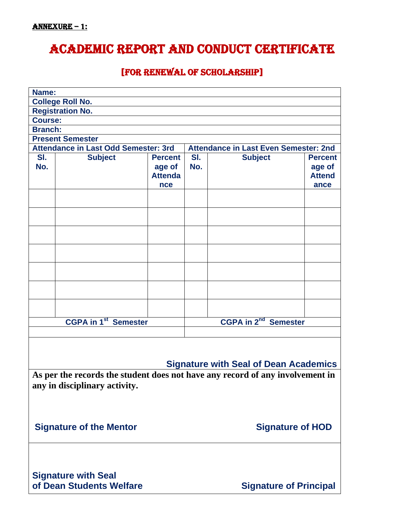# Academic report and Conduct certificate

# [for renewal of scholarship]

| Name:                                                                                                          |                                      |                                                   |            |                                              |                                                   |
|----------------------------------------------------------------------------------------------------------------|--------------------------------------|---------------------------------------------------|------------|----------------------------------------------|---------------------------------------------------|
|                                                                                                                | <b>College Roll No.</b>              |                                                   |            |                                              |                                                   |
|                                                                                                                | <b>Registration No.</b>              |                                                   |            |                                              |                                                   |
| <b>Course:</b>                                                                                                 |                                      |                                                   |            |                                              |                                                   |
| <b>Branch:</b>                                                                                                 |                                      |                                                   |            |                                              |                                                   |
|                                                                                                                | <b>Present Semester</b>              |                                                   |            |                                              |                                                   |
|                                                                                                                | Attendance in Last Odd Semester: 3rd |                                                   |            | <b>Attendance in Last Even Semester: 2nd</b> |                                                   |
| SI.<br>No.                                                                                                     | <b>Subject</b>                       | <b>Percent</b><br>age of<br><b>Attenda</b><br>nce | SI.<br>No. | <b>Subject</b>                               | <b>Percent</b><br>age of<br><b>Attend</b><br>ance |
|                                                                                                                |                                      |                                                   |            |                                              |                                                   |
|                                                                                                                |                                      |                                                   |            |                                              |                                                   |
|                                                                                                                |                                      |                                                   |            |                                              |                                                   |
|                                                                                                                |                                      |                                                   |            |                                              |                                                   |
|                                                                                                                |                                      |                                                   |            |                                              |                                                   |
|                                                                                                                |                                      |                                                   |            |                                              |                                                   |
|                                                                                                                |                                      |                                                   |            |                                              |                                                   |
| <b>CGPA in 2<sup>nd</sup> Semester</b><br><b>CGPA in 1st Semester</b>                                          |                                      |                                                   |            |                                              |                                                   |
|                                                                                                                |                                      |                                                   |            |                                              |                                                   |
| <b>Signature with Seal of Dean Academics</b>                                                                   |                                      |                                                   |            |                                              |                                                   |
| As per the records the student does not have any record of any involvement in<br>any in disciplinary activity. |                                      |                                                   |            |                                              |                                                   |
| <b>Signature of HOD</b><br><b>Signature of the Mentor</b>                                                      |                                      |                                                   |            |                                              |                                                   |
| <b>Signature with Seal</b><br>of Dean Students Welfare<br><b>Signature of Principal</b>                        |                                      |                                                   |            |                                              |                                                   |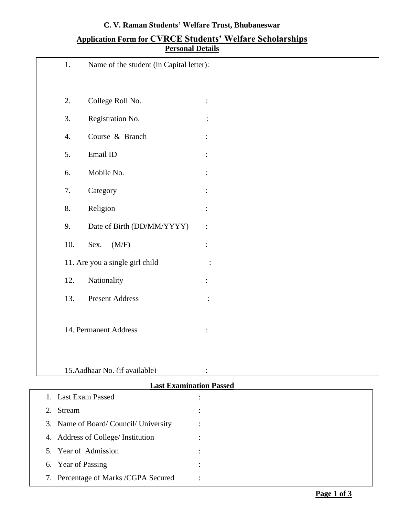| 1.  | Name of the student (in Capital letter): |                |
|-----|------------------------------------------|----------------|
|     |                                          |                |
| 2.  | College Roll No.                         |                |
| 3.  | Registration No.                         |                |
| 4.  | Course & Branch                          |                |
| 5.  | $\operatorname{Email}$ ID                |                |
| 6.  | Mobile No.                               |                |
| 7.  | Category                                 |                |
| 8.  | Religion                                 |                |
| 9.  | Date of Birth (DD/MM/YYYY)               |                |
| 10. | Sex.<br>(M/F)                            |                |
|     | 11. Are you a single girl child          |                |
| 12. | Nationality                              |                |
| 13. | <b>Present Address</b>                   | $\ddot{\cdot}$ |
|     |                                          |                |
|     | 14. Permanent Address                    | :              |
|     |                                          |                |
|     |                                          |                |

### **C. V. Raman Students' Welfare Trust, Bhubaneswar**

### **Application Form for CVRCE Students' Welfare Scholarships Personal Details**

15.Aadhaar No. (if available) :

| <b>Last Examination Passed</b> |                                     |   |
|--------------------------------|-------------------------------------|---|
|                                | 1. Last Exam Passed                 | ٠ |
| 2.                             | Stream                              |   |
|                                | 3. Name of Board/Council/University | ٠ |
|                                | 4. Address of College/ Institution  | ٠ |
|                                | 5. Year of Admission                |   |
|                                | 6. Year of Passing                  | ٠ |
| 7.                             | Percentage of Marks /CGPA Secured   | ٠ |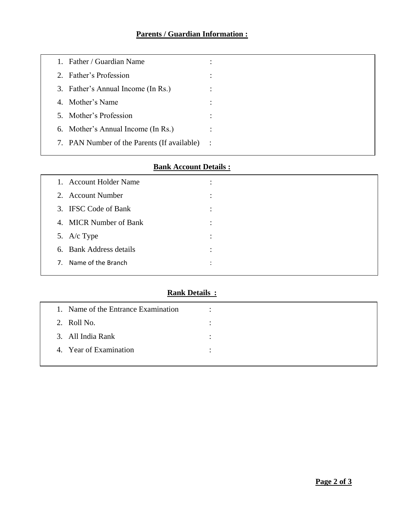| Father / Guardian Name<br>1.                |                |
|---------------------------------------------|----------------|
| 2. Father's Profession                      | ٠<br>$\bullet$ |
| 3. Father's Annual Income (In Rs.)          |                |
| 4. Mother's Name                            |                |
| 5. Mother's Profession                      |                |
| 6. Mother's Annual Income (In Rs.)          |                |
| 7. PAN Number of the Parents (If available) | $\sim$ 1       |
|                                             |                |

# **Bank Account Details :**

| 1. Account Holder Name  | ٠ |  |
|-------------------------|---|--|
| 2. Account Number       |   |  |
| 3. IFSC Code of Bank    | ٠ |  |
| 4. MICR Number of Bank  | ٠ |  |
| 5. A/c Type             | ٠ |  |
| 6. Bank Address details | ٠ |  |
| 7. Name of the Branch   | ٠ |  |

# **Rank Details :**

| 1. Name of the Entrance Examination | ٠         |
|-------------------------------------|-----------|
| 2. Roll No.                         |           |
| 3. All India Rank                   | $\bullet$ |
| 4. Year of Examination              | $\bullet$ |
|                                     |           |